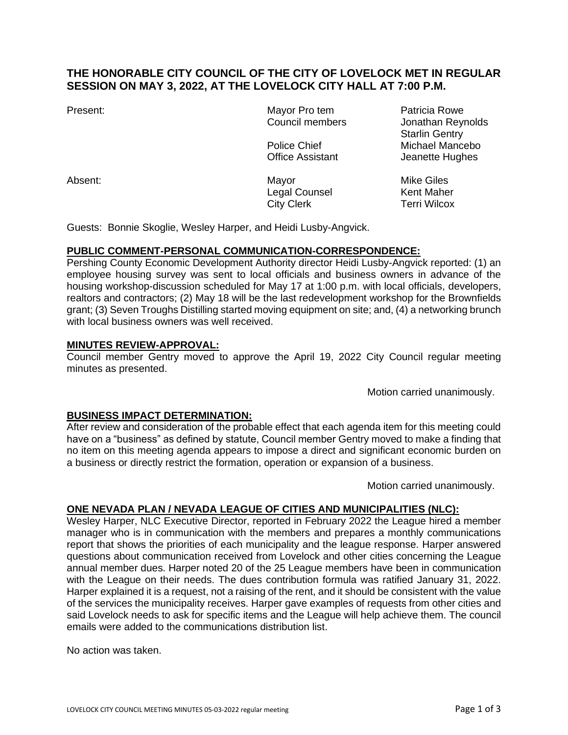# **THE HONORABLE CITY COUNCIL OF THE CITY OF LOVELOCK MET IN REGULAR SESSION ON MAY 3, 2022, AT THE LOVELOCK CITY HALL AT 7:00 P.M.**

Present: The Contract Mayor Pro tem Patricia Rowe

Absent: Navor Mayor Mayor Mike Giles Legal Counsel **Kent Maher** City Clerk Terri Wilcox

Council members Jonathan Reynolds Starlin Gentry Police Chief Michael Mancebo Office Assistant **Jeanette Hughes** 

Guests: Bonnie Skoglie, Wesley Harper, and Heidi Lusby-Angvick.

## **PUBLIC COMMENT-PERSONAL COMMUNICATION-CORRESPONDENCE:**

Pershing County Economic Development Authority director Heidi Lusby-Angvick reported: (1) an employee housing survey was sent to local officials and business owners in advance of the housing workshop-discussion scheduled for May 17 at 1:00 p.m. with local officials, developers, realtors and contractors; (2) May 18 will be the last redevelopment workshop for the Brownfields grant; (3) Seven Troughs Distilling started moving equipment on site; and, (4) a networking brunch with local business owners was well received.

### **MINUTES REVIEW-APPROVAL:**

Council member Gentry moved to approve the April 19, 2022 City Council regular meeting minutes as presented.

Motion carried unanimously.

## **BUSINESS IMPACT DETERMINATION:**

After review and consideration of the probable effect that each agenda item for this meeting could have on a "business" as defined by statute, Council member Gentry moved to make a finding that no item on this meeting agenda appears to impose a direct and significant economic burden on a business or directly restrict the formation, operation or expansion of a business.

Motion carried unanimously.

## **ONE NEVADA PLAN / NEVADA LEAGUE OF CITIES AND MUNICIPALITIES (NLC):**

Wesley Harper, NLC Executive Director, reported in February 2022 the League hired a member manager who is in communication with the members and prepares a monthly communications report that shows the priorities of each municipality and the league response. Harper answered questions about communication received from Lovelock and other cities concerning the League annual member dues. Harper noted 20 of the 25 League members have been in communication with the League on their needs. The dues contribution formula was ratified January 31, 2022. Harper explained it is a request, not a raising of the rent, and it should be consistent with the value of the services the municipality receives. Harper gave examples of requests from other cities and said Lovelock needs to ask for specific items and the League will help achieve them. The council emails were added to the communications distribution list.

No action was taken.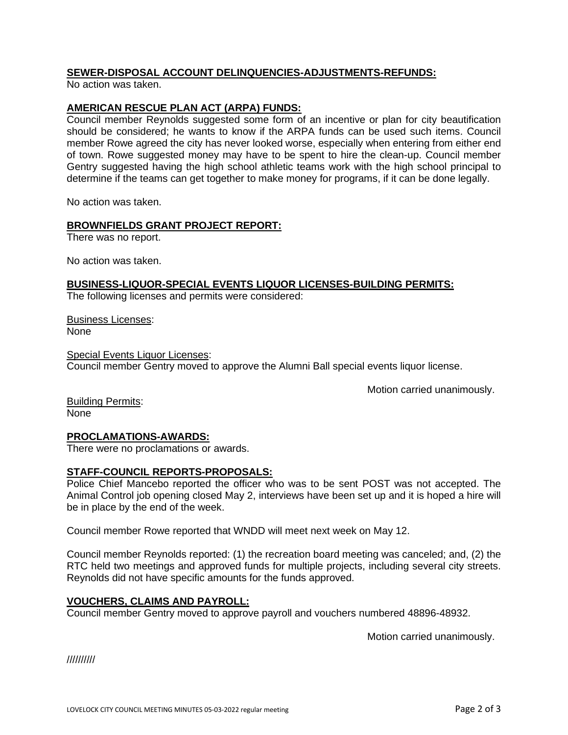### **SEWER-DISPOSAL ACCOUNT DELINQUENCIES-ADJUSTMENTS-REFUNDS:**

No action was taken.

### **AMERICAN RESCUE PLAN ACT (ARPA) FUNDS:**

Council member Reynolds suggested some form of an incentive or plan for city beautification should be considered; he wants to know if the ARPA funds can be used such items. Council member Rowe agreed the city has never looked worse, especially when entering from either end of town. Rowe suggested money may have to be spent to hire the clean-up. Council member Gentry suggested having the high school athletic teams work with the high school principal to determine if the teams can get together to make money for programs, if it can be done legally.

No action was taken.

#### **BROWNFIELDS GRANT PROJECT REPORT:**

There was no report.

No action was taken.

#### **BUSINESS-LIQUOR-SPECIAL EVENTS LIQUOR LICENSES-BUILDING PERMITS:**

The following licenses and permits were considered:

Business Licenses: None

Special Events Liquor Licenses: Council member Gentry moved to approve the Alumni Ball special events liquor license.

Motion carried unanimously.

Building Permits: None

#### **PROCLAMATIONS-AWARDS:**

There were no proclamations or awards.

#### **STAFF-COUNCIL REPORTS-PROPOSALS:**

Police Chief Mancebo reported the officer who was to be sent POST was not accepted. The Animal Control job opening closed May 2, interviews have been set up and it is hoped a hire will be in place by the end of the week.

Council member Rowe reported that WNDD will meet next week on May 12.

Council member Reynolds reported: (1) the recreation board meeting was canceled; and, (2) the RTC held two meetings and approved funds for multiple projects, including several city streets. Reynolds did not have specific amounts for the funds approved.

#### **VOUCHERS, CLAIMS AND PAYROLL:**

Council member Gentry moved to approve payroll and vouchers numbered 48896-48932.

Motion carried unanimously.

//////////